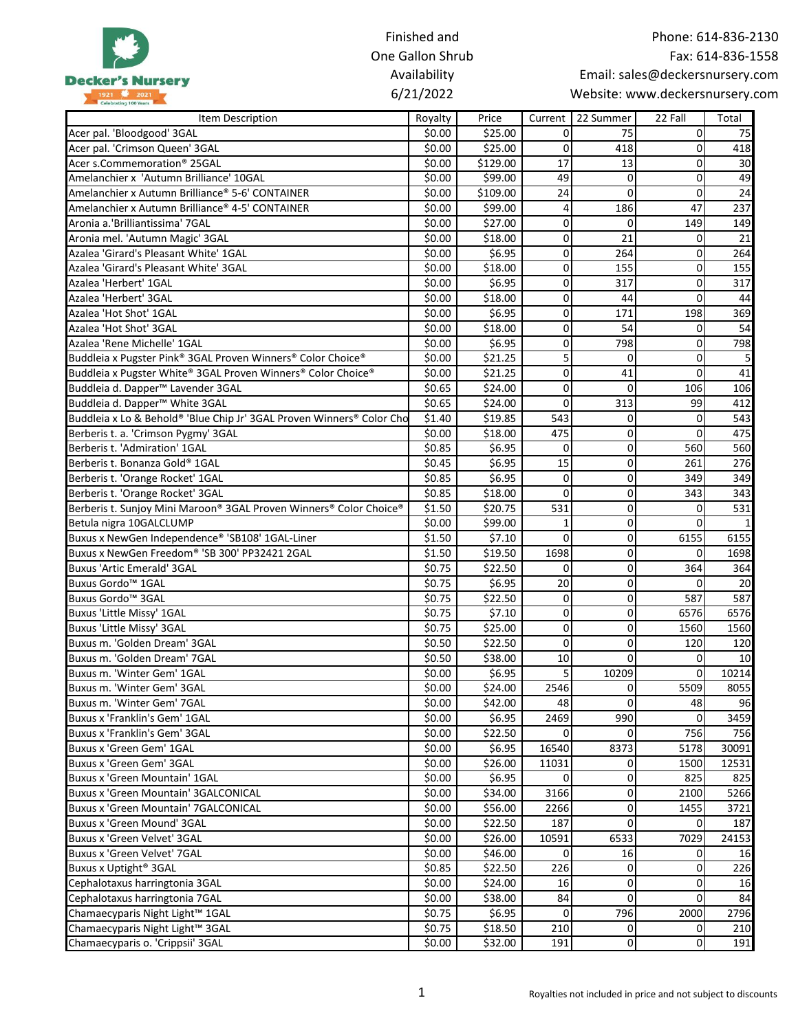|                                                                                                  | Finished and     |                     |                               |                                  |                                 | Phone: 614-836-2130 |
|--------------------------------------------------------------------------------------------------|------------------|---------------------|-------------------------------|----------------------------------|---------------------------------|---------------------|
|                                                                                                  | One Gallon Shrub |                     |                               |                                  |                                 | Fax: 614-836-1558   |
|                                                                                                  | Availability     |                     |                               |                                  | Email: sales@deckersnursery.com |                     |
| <b>Decker's Nursery</b><br>1921 2021<br>Celebrating 100 Years                                    | 6/21/2022        |                     |                               |                                  | Website: www.deckersnursery.com |                     |
|                                                                                                  |                  |                     |                               |                                  |                                 |                     |
| Item Description                                                                                 | Royalty          | Price               | Current                       | 22 Summer                        | 22 Fall                         | Total               |
| Acer pal. 'Bloodgood' 3GAL                                                                       | \$0.00           | \$25.00             | 0                             | 75                               | 0                               | 75                  |
| Acer pal. 'Crimson Queen' 3GAL<br>Acer s.Commemoration <sup>®</sup> 25GAL                        | \$0.00           | \$25.00             | 0<br>17                       | 418<br>13                        | $\mathbf{0}$<br>$\mathbf 0$     | 418                 |
| Amelanchier x 'Autumn Brilliance' 10GAL                                                          | \$0.00<br>\$0.00 | \$129.00<br>\$99.00 | 49                            | $\overline{0}$                   | 0                               | 30<br>49            |
| Amelanchier x Autumn Brilliance® 5-6' CONTAINER                                                  | \$0.00           | \$109.00            | 24                            | $\overline{0}$                   | 0                               | 24                  |
| Amelanchier x Autumn Brilliance® 4-5' CONTAINER                                                  |                  |                     | $\overline{4}$                | 186                              | 47                              | 237                 |
| Aronia a.'Brilliantissima' 7GAL                                                                  | \$0.00<br>\$0.00 | \$99.00<br>\$27.00  | $\mathbf 0$                   | $\overline{0}$                   | 149                             | 149                 |
|                                                                                                  |                  |                     | $\mathbf 0$                   | 21                               | $\mathbf 0$                     |                     |
| Aronia mel. 'Autumn Magic' 3GAL<br>Azalea 'Girard's Pleasant White' 1GAL                         | \$0.00           | \$18.00<br>\$6.95   | $\mathbf 0$                   | 264                              | $\mathbf 0$                     | 21<br>264           |
| Azalea 'Girard's Pleasant White' 3GAL                                                            | \$0.00<br>\$0.00 | \$18.00             | $\mathbf 0$                   | 155                              | $\overline{0}$                  | 155                 |
| Azalea 'Herbert' 1GAL                                                                            | \$0.00           | \$6.95              | 0                             | 317                              | $\mathbf 0$                     | 317                 |
|                                                                                                  |                  |                     |                               |                                  |                                 |                     |
| Azalea 'Herbert' 3GAL<br>Azalea 'Hot Shot' 1GAL                                                  | \$0.00           | \$18.00             | 0<br>0                        | 44<br>171                        | $\mathbf{0}$<br>198             | 44<br>369           |
| Azalea 'Hot Shot' 3GAL                                                                           | \$0.00<br>\$0.00 | \$6.95<br>\$18.00   | 0                             | 54                               | 0                               | 54                  |
| Azalea 'Rene Michelle' 1GAL                                                                      | \$0.00           |                     | $\pmb{0}$                     | 798                              | $\pmb{0}$                       | 798                 |
|                                                                                                  |                  | \$6.95<br>\$21.25   | 5                             | $\Omega$                         | $\mathbf 0$                     |                     |
| Buddleia x Pugster Pink® 3GAL Proven Winners® Color Choice®                                      | \$0.00           |                     |                               |                                  |                                 |                     |
| Buddleia x Pugster White® 3GAL Proven Winners® Color Choice®                                     | \$0.00           | \$21.25             | 0<br>0                        | 41                               | 0                               | 41                  |
| Buddleia d. Dapper <sup>™</sup> Lavender 3GAL                                                    | \$0.65           | \$24.00             |                               | $\mathbf{0}$                     | 106                             | 106                 |
| Buddleia d. Dapper <sup>™</sup> White 3GAL                                                       | \$0.65           | \$24.00             | 0                             | 313                              | 99                              | 412                 |
| Buddleia x Lo & Behold® 'Blue Chip Jr' 3GAL Proven Winners® Color Cho                            | \$1.40           | \$19.85             | 543                           | $\overline{0}$<br>$\overline{0}$ | $\mathbf{0}$                    | 543                 |
| Berberis t. a. 'Crimson Pygmy' 3GAL                                                              | \$0.00           | \$18.00             | 475                           | $\Omega$                         | $\pmb{0}$                       | 475                 |
| Berberis t. 'Admiration' 1GAL                                                                    | \$0.85           | \$6.95              | 0                             |                                  | 560                             | 560                 |
| Berberis t. Bonanza Gold® 1GAL                                                                   | \$0.45           | \$6.95              | 15                            | $\overline{0}$                   | 261                             | 276                 |
| Berberis t. 'Orange Rocket' 1GAL                                                                 | \$0.85           | \$6.95              | 0                             | $\overline{0}$                   | 349                             | 349                 |
| Berberis t. 'Orange Rocket' 3GAL                                                                 | \$0.85           | \$18.00             | $\Omega$                      | $\overline{0}$                   | 343                             | 343                 |
| Berberis t. Sunjoy Mini Maroon® 3GAL Proven Winners® Color Choice®                               | \$1.50           | \$20.75             | 531                           | $\overline{0}$                   | 0                               | 531                 |
| Betula nigra 10GALCLUMP                                                                          | \$0.00           | \$99.00             | 1                             | $\overline{0}$                   | $\mathbf{0}$                    |                     |
| Buxus x NewGen Independence® 'SB108' 1GAL-Liner<br>Buxus x NewGen Freedom® 'SB 300' PP32421 2GAL | \$1.50           | \$7.10<br>\$19.50   | 0<br>1698                     | $\overline{0}$<br>$\overline{0}$ | 6155<br>$\Omega$                | 6155<br>1698        |
| <b>Buxus 'Artic Emerald' 3GAL</b>                                                                | \$1.50<br>\$0.75 | \$22.50             | 0                             | $\overline{0}$                   | 364                             | 364                 |
| Buxus Gordo <sup>™</sup> 1GAL                                                                    |                  |                     | 20                            | $\overline{0}$                   | 0                               |                     |
| Buxus Gordo <sup>™</sup> 3GAL                                                                    | \$0.75<br>\$0.75 | \$6.95<br>\$22.50   | 0                             | $\overline{0}$                   |                                 | 20<br>587           |
|                                                                                                  |                  |                     |                               |                                  | 587                             |                     |
| Buxus 'Little Missy' 1GAL<br><b>Buxus 'Little Missy' 3GAL</b>                                    | Ş0.75            | Ş7.10               | $\overline{0}$<br>$\mathbf 0$ | 0 <br>$\Omega$                   | 6576<br>1560                    | 6576                |
|                                                                                                  | \$0.75           | \$25.00             | $\mathbf{0}$                  | $\Omega$                         | 120                             | 1560<br>120         |
| Buxus m. 'Golden Dream' 3GAL<br>Buxus m. 'Golden Dream' 7GAL                                     | \$0.50           | \$22.50             | $10\,$                        | $\Omega$                         | 0                               | 10                  |
| Buxus m. 'Winter Gem' 1GAL                                                                       | \$0.50           | \$38.00<br>\$6.95   | 5                             | 10209                            | 0                               | 10214               |
|                                                                                                  | \$0.00           |                     |                               | $\overline{0}$                   |                                 |                     |
| Buxus m. 'Winter Gem' 3GAL<br>Buxus m. 'Winter Gem' 7GAL                                         | \$0.00           | \$24.00             | 2546<br>48                    | $\Omega$                         | 5509                            | 8055                |
|                                                                                                  | \$0.00           | \$42.00             | 2469                          | 990                              | 48<br>$\overline{0}$            | 96<br>3459          |
| Buxus x 'Franklin's Gem' 1GAL                                                                    | \$0.00           | \$6.95              | $\Omega$                      | $\overline{0}$                   | 756                             | 756                 |
| Buxus x 'Franklin's Gem' 3GAL                                                                    | \$0.00           | \$22.50             |                               |                                  |                                 |                     |
| Buxus x 'Green Gem' 1GAL<br>Buxus x 'Green Gem' 3GAL                                             | \$0.00           | \$6.95              | 16540<br>11031                | 8373                             | 5178<br>1500                    | 30091<br>12531      |
| Buxus x 'Green Mountain' 1GAL                                                                    | \$0.00           | \$26.00<br>\$6.95   | $\Omega$                      | $\overline{0}$                   | 825                             |                     |
|                                                                                                  | \$0.00           |                     |                               | $\overline{0}$                   |                                 | 825                 |
| <b>Buxus x 'Green Mountain' 3GALCONICAL</b>                                                      | \$0.00           | \$34.00             | 3166                          | $\overline{0}$                   | 2100                            | 5266                |
| <b>Buxus x 'Green Mountain' 7GALCONICAL</b><br>Buxus x 'Green Mound' 3GAL                        | \$0.00           | \$56.00             | 2266<br>187                   | $\overline{O}$<br>$\Omega$       | 1455                            | 3721                |
| Buxus x 'Green Velvet' 3GAL                                                                      | \$0.00           | \$22.50             |                               |                                  | $\overline{0}$                  | 187                 |
|                                                                                                  | \$0.00           | \$26.00             | 10591                         | 6533                             | 7029                            | 24153               |
| Buxus x 'Green Velvet' 7GAL                                                                      | \$0.00           | \$46.00             | $\mathbf{0}$                  | 16                               | $\overline{0}$                  | 16                  |
| Buxus x Uptight <sup>®</sup> 3GAL                                                                | \$0.85           | \$22.50             | 226                           | $\overline{0}$<br>$\Omega$       | 0                               | 226                 |
| Cephalotaxus harringtonia 3GAL                                                                   | \$0.00           | \$24.00             | 16                            | $\Omega$                         | $\mathbf 0$                     | <b>16</b>           |
| Cephalotaxus harringtonia 7GAL                                                                   | \$0.00           | \$38.00             | 84                            |                                  | $\mathbf 0$                     | 84                  |
| Chamaecyparis Night Light™ 1GAL                                                                  | \$0.75           | \$6.95              | 0                             | 796<br>$\overline{0}$            | 2000                            | 2796                |
| Chamaecyparis Night Light™ 3GAL                                                                  | \$0.75           | \$18.50             | 210                           | $\overline{0}$                   | $\overline{0}$<br>$\Omega$      | 210                 |
| Chamaecyparis o. 'Crippsii' 3GAL                                                                 | \$0.00           | \$32.00             | 191                           |                                  |                                 | 191                 |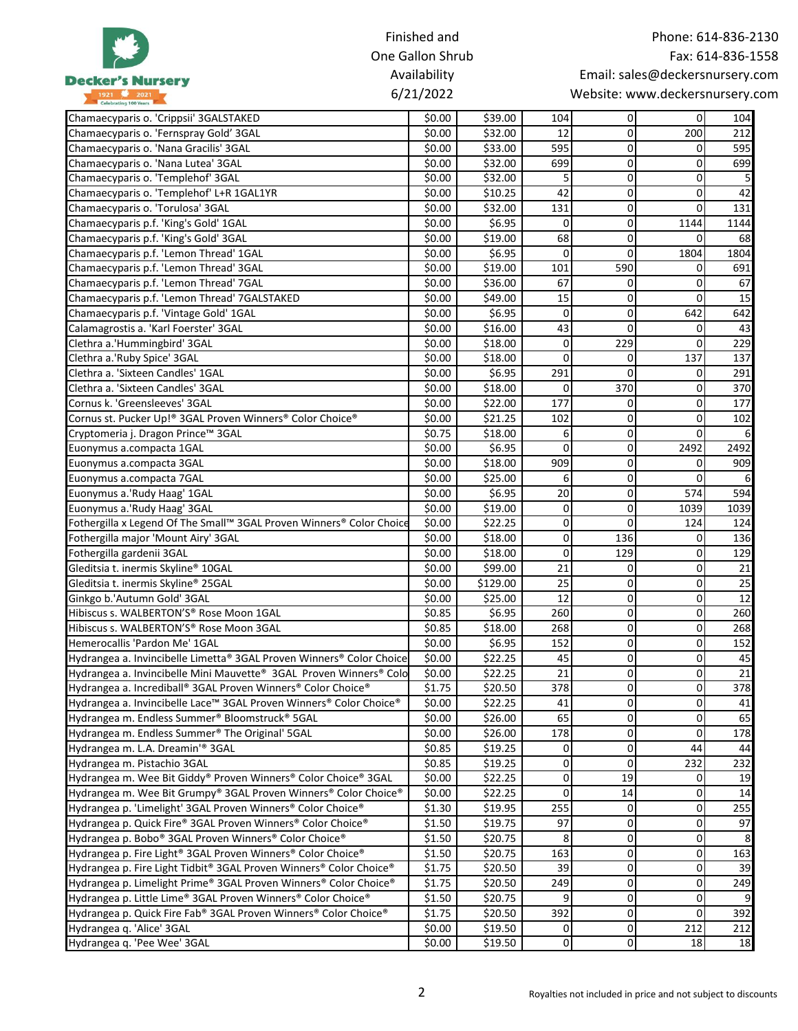|                                                                      | Finished and     |                   |                         |                         | Phone: 614-836-2130             |                   |
|----------------------------------------------------------------------|------------------|-------------------|-------------------------|-------------------------|---------------------------------|-------------------|
|                                                                      | One Gallon Shrub |                   |                         |                         |                                 | Fax: 614-836-1558 |
|                                                                      | Availability     |                   |                         |                         | Email: sales@deckersnursery.com |                   |
| <b>Decker's Nursery</b><br>1921 2021                                 | 6/21/2022        |                   |                         |                         | Website: www.deckersnursery.com |                   |
|                                                                      |                  |                   |                         |                         |                                 |                   |
| Chamaecyparis o. 'Crippsii' 3GALSTAKED                               | \$0.00           | \$39.00           | 104                     | $\overline{0}$          | $\Omega$                        | 104               |
| Chamaecyparis o. 'Fernspray Gold' 3GAL                               | \$0.00           | \$32.00           | 12                      | $\overline{0}$          | 200                             | 212               |
| Chamaecyparis o. 'Nana Gracilis' 3GAL                                | \$0.00           | \$33.00           | 595                     | 0                       | 0                               | 595               |
| Chamaecyparis o. 'Nana Lutea' 3GAL                                   | \$0.00           | \$32.00           | 699                     | 0                       | 0                               | 699               |
| Chamaecyparis o. 'Templehof' 3GAL                                    | \$0.00           | \$32.00           | 5                       | 0                       | 0                               |                   |
| Chamaecyparis o. 'Templehof' L+R 1GAL1YR                             | \$0.00           | \$10.25           | 42                      | 0                       | 0                               | 42                |
| Chamaecyparis o. 'Torulosa' 3GAL                                     | \$0.00           | \$32.00           | 131                     | 0                       | 0                               | 131               |
| Chamaecyparis p.f. 'King's Gold' 1GAL                                | \$0.00           | \$6.95            | 0                       | 0                       | 1144                            | 1144              |
| Chamaecyparis p.f. 'King's Gold' 3GAL                                | \$0.00           | \$19.00           | 68                      | 0                       | 0                               | 68                |
| Chamaecyparis p.f. 'Lemon Thread' 1GAL                               | \$0.00           | \$6.95            | 0                       | 0                       | 1804                            | 1804              |
| Chamaecyparis p.f. 'Lemon Thread' 3GAL                               | \$0.00           | \$19.00           | 101                     | 590                     | 0                               | 691               |
| Chamaecyparis p.f. 'Lemon Thread' 7GAL                               | \$0.00           | \$36.00           | 67                      | 0                       | 0                               | 67                |
| Chamaecyparis p.f. 'Lemon Thread' 7GALSTAKED                         | \$0.00           | \$49.00           | 15                      | 0                       | $\Omega$                        | 15                |
| Chamaecyparis p.f. 'Vintage Gold' 1GAL                               | \$0.00           | \$6.95            | 0                       | $\Omega$                | 642                             | 642               |
| Calamagrostis a. 'Karl Foerster' 3GAL                                | \$0.00           | \$16.00           | 43                      | 0                       | 0                               | 43                |
| Clethra a.'Hummingbird' 3GAL                                         | \$0.00           | \$18.00           | 0                       | 229                     | 0                               | 229               |
| Clethra a.'Ruby Spice' 3GAL                                          | \$0.00           | \$18.00           | $\Omega$                | 0                       | 137                             | 137               |
| Clethra a. 'Sixteen Candles' 1GAL                                    | \$0.00           | \$6.95            | 291                     | $\Omega$                | 0                               | 291               |
| Clethra a. 'Sixteen Candles' 3GAL                                    | \$0.00           | \$18.00           | 0                       | 370                     | 0                               | 370               |
| Cornus k. 'Greensleeves' 3GAL                                        | \$0.00           | \$22.00           | 177                     | 0                       | 0                               | 177               |
| Cornus st. Pucker Up!® 3GAL Proven Winners® Color Choice®            | \$0.00           | \$21.25           | 102                     | 0                       | 0                               | 102               |
| Cryptomeria j. Dragon Prince™ 3GAL                                   | \$0.75           | \$18.00           | 6                       | 0                       | 0                               |                   |
| Euonymus a.compacta 1GAL                                             | \$0.00           | \$6.95            | 0                       | 0                       | 2492                            | 2492              |
| Euonymus a.compacta 3GAL                                             | \$0.00           | \$18.00           | 909                     | 0                       | 0                               | 909               |
| Euonymus a.compacta 7GAL                                             | \$0.00<br>\$0.00 | \$25.00           | 6<br>20                 | $\mathbf 0$<br>$\Omega$ | 0<br>574                        | 594               |
| Euonymus a.'Rudy Haag' 1GAL<br>Euonymus a.'Rudy Haag' 3GAL           | \$0.00           | \$6.95<br>\$19.00 | 0                       | $\Omega$                | 1039                            | 1039              |
| Fothergilla x Legend Of The Small™ 3GAL Proven Winners® Color Choice | \$0.00           | \$22.25           | 0                       | $\Omega$                | 124                             | 124               |
| Fothergilla major 'Mount Airy' 3GAL                                  | \$0.00           | \$18.00           | 0                       | 136                     | 0                               | 136               |
| Fothergilla gardenii 3GAL                                            | \$0.00           | \$18.00           | 0                       | 129                     | 0                               | 129               |
| Gleditsia t. inermis Skyline® 10GAL                                  | \$0.00           | \$99.00           | 21                      | 0                       | 0                               | 21                |
| Gleditsia t. inermis Skyline® 25GAL                                  | \$0.00           | \$129.00          | 25                      | 0                       | 0                               | 25                |
| Ginkgo b.'Autumn Gold' 3GAL                                          | \$0.00           | \$25.00           | 12                      | $\Omega$                | 0                               | 12                |
| Hibiscus s. WALBERTON'S® Rose Moon 1GAL                              | \$0.85           | \$6.95            | 260                     | $\Omega$                | $\Omega$                        | 260               |
| Hibiscus s. WALBERTON'S® Rose Moon 3GAL                              | \$0.85           | \$18.00           | 268                     | $\mathbf 0$             | $\pmb{0}$                       | 268               |
| Hemerocallis 'Pardon Me' 1GAL                                        | \$0.00           | \$6.95            | 152                     | $\mathbf 0$             | 0                               | 152               |
| Hydrangea a. Invincibelle Limetta® 3GAL Proven Winners® Color Choice | \$0.00           | \$22.25           | 45                      | $\overline{0}$          | $\pmb{0}$                       | 45                |
| Hydrangea a. Invincibelle Mini Mauvette® 3GAL Proven Winners® Colo   | \$0.00           | \$22.25           | 21                      | $\mathbf 0$             | $\mathbf 0$                     | 21                |
| Hydrangea a. Incrediball® 3GAL Proven Winners® Color Choice®         | \$1.75           | \$20.50           | 378                     | $\mathbf 0$             | $\mathbf 0$                     | 378               |
| Hydrangea a. Invincibelle Lace™ 3GAL Proven Winners® Color Choice®   | \$0.00           | \$22.25           | 41                      | $\mathbf 0$             | 0                               | 41                |
| Hydrangea m. Endless Summer® Bloomstruck® 5GAL                       | \$0.00           | \$26.00           | 65                      | 0                       | 0                               | 65                |
| Hydrangea m. Endless Summer® The Original' 5GAL                      | \$0.00           | \$26.00           | 178                     | 0                       | 0                               | 178               |
| Hydrangea m. L.A. Dreamin'® 3GAL                                     | \$0.85           | \$19.25           | 0                       | $\overline{0}$          | 44                              | 44                |
| Hydrangea m. Pistachio 3GAL                                          | \$0.85           | \$19.25           | 0                       | 0                       | 232                             | 232               |
| Hydrangea m. Wee Bit Giddy® Proven Winners® Color Choice® 3GAL       | \$0.00           | \$22.25           | 0                       | 19                      | 0                               | 19                |
| Hydrangea m. Wee Bit Grumpy® 3GAL Proven Winners® Color Choice®      | \$0.00           | \$22.25           | 0                       | 14                      | 0                               | 14                |
| Hydrangea p. 'Limelight' 3GAL Proven Winners® Color Choice®          | \$1.30           | \$19.95           | 255                     | 0                       | 0                               | 255               |
| Hydrangea p. Quick Fire® 3GAL Proven Winners® Color Choice®          | \$1.50           | \$19.75           | 97                      | $\mathbf 0$             | 0                               | 97                |
| Hydrangea p. Bobo® 3GAL Proven Winners® Color Choice®                | \$1.50           | \$20.75           | 8                       | $\mathbf 0$             | 0                               |                   |
| Hydrangea p. Fire Light® 3GAL Proven Winners® Color Choice®          | \$1.50           | \$20.75           | 163                     | $\mathbf 0$             | $\mathbf 0$                     | 163               |
| Hydrangea p. Fire Light Tidbit® 3GAL Proven Winners® Color Choice®   | \$1.75           | \$20.50           | 39                      | $\mathbf 0$             | $\mathbf 0$                     | 39                |
| Hydrangea p. Limelight Prime® 3GAL Proven Winners® Color Choice®     | \$1.75           | \$20.50           | 249                     | $\mathbf 0$             | 0                               | 249               |
| Hydrangea p. Little Lime® 3GAL Proven Winners® Color Choice®         | \$1.50           | \$20.75           | 9                       | 0                       | 0                               |                   |
| Hydrangea p. Quick Fire Fab® 3GAL Proven Winners® Color Choice®      | \$1.75           | \$20.50           | 392                     | 0                       | 0                               | 392               |
| Hydrangea q. 'Alice' 3GAL                                            | \$0.00           | \$19.50           | 0                       | 0                       | 212                             | 212               |
| Hydrangea q. 'Pee Wee' 3GAL                                          | \$0.00           | \$19.50           | $\overline{\mathbf{0}}$ | $\mathbf 0$             | 18                              | 18                |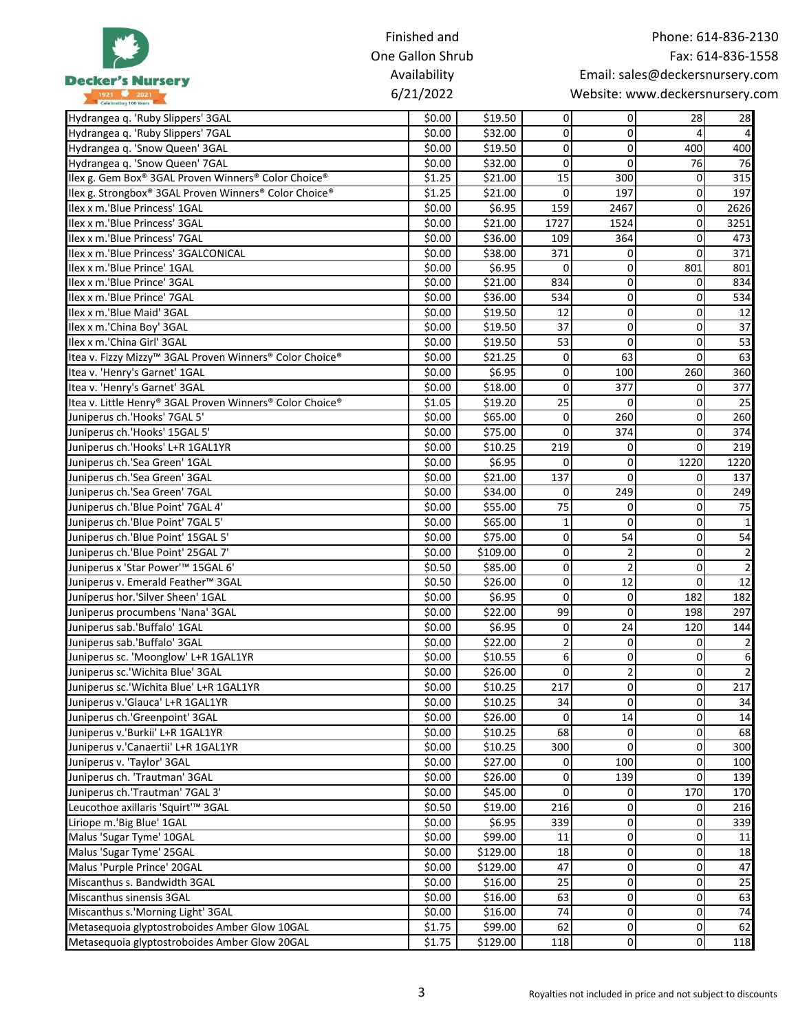|                                                                          | Finished and     |                     |                |                            |                                 | Phone: 614-836-2130 |
|--------------------------------------------------------------------------|------------------|---------------------|----------------|----------------------------|---------------------------------|---------------------|
|                                                                          | One Gallon Shrub |                     |                |                            |                                 | Fax: 614-836-1558   |
|                                                                          | Availability     |                     |                |                            | Email: sales@deckersnursery.com |                     |
| <b>Decker's Nursery</b>                                                  | 6/21/2022        |                     |                |                            | Website: www.deckersnursery.com |                     |
| 1921 2021                                                                |                  |                     |                |                            |                                 |                     |
| Hydrangea q. 'Ruby Slippers' 3GAL                                        | \$0.00           | \$19.50             | 0              | $\overline{0}$             | 28                              | 28                  |
| Hydrangea q. 'Ruby Slippers' 7GAL                                        | \$0.00           | \$32.00             | 0              | $\overline{0}$             | 4                               |                     |
| Hydrangea q. 'Snow Queen' 3GAL                                           | \$0.00           | \$19.50             | 0              | $\Omega$                   | 400                             | 400                 |
| Hydrangea q. 'Snow Queen' 7GAL                                           | \$0.00           | \$32.00             | $\mathbf 0$    | $\Omega$                   | 76                              | 76                  |
| Ilex g. Gem Box® 3GAL Proven Winners® Color Choice®                      | \$1.25           | \$21.00             | 15             | 300                        | $\mathbf 0$                     | 315                 |
| Ilex g. Strongbox® 3GAL Proven Winners® Color Choice®                    | \$1.25           | \$21.00             | 0              | 197                        | $\overline{0}$                  | 197                 |
| Ilex x m.'Blue Princess' 1GAL                                            | \$0.00           | \$6.95              | 159            | 2467                       | $\pmb{0}$                       | 2626                |
| Ilex x m.'Blue Princess' 3GAL                                            | \$0.00           | \$21.00             | 1727           | 1524                       | $\overline{0}$                  | 3251                |
| Ilex x m.'Blue Princess' 7GAL                                            | \$0.00           | \$36.00             | 109            | 364                        | 0                               | 473                 |
| Ilex x m.'Blue Princess' 3GALCONICAL<br>Ilex x m.'Blue Prince' 1GAL      | \$0.00           | \$38.00             | 371<br>0       | $\Omega$<br>$\overline{0}$ | 0<br>801                        | 371<br>801          |
| Ilex x m.'Blue Prince' 3GAL                                              | \$0.00<br>\$0.00 | \$6.95<br>\$21.00   | 834            | $\overline{0}$             | $\overline{0}$                  | 834                 |
| Ilex x m.'Blue Prince' 7GAL                                              | \$0.00           | \$36.00             | 534            | $\overline{0}$             | $\overline{0}$                  | 534                 |
| Ilex x m.'Blue Maid' 3GAL                                                | \$0.00           | \$19.50             | 12             | $\Omega$                   | $\Omega$                        | 12                  |
| Ilex x m.'China Boy' 3GAL                                                | \$0.00           | \$19.50             | 37             | $\overline{0}$             | $\pmb{0}$                       | $\overline{37}$     |
| Ilex x m.'China Girl' 3GAL                                               | \$0.00           | \$19.50             | 53             | $\Omega$                   | $\mathbf 0$                     | 53                  |
|                                                                          | \$0.00           |                     | 0              | 63                         | $\Omega$                        | 63                  |
| Itea v. Fizzy Mizzy™ 3GAL Proven Winners® Color Choice®                  | \$0.00           | \$21.25<br>\$6.95   | 0              | 100                        | 260                             | 360                 |
| Itea v. 'Henry's Garnet' 1GAL<br>Itea v. 'Henry's Garnet' 3GAL           | \$0.00           | \$18.00             | $\mathbf 0$    | 377                        | 0                               | 377                 |
| Itea v. Little Henry® 3GAL Proven Winners® Color Choice®                 | \$1.05           | \$19.20             | 25             | $\Omega$                   | 0                               | 25                  |
| Juniperus ch.'Hooks' 7GAL 5'                                             |                  |                     | 0              | 260                        | 0                               | 260                 |
|                                                                          | \$0.00           | \$65.00             | 0              | 374                        | $\overline{0}$                  | 374                 |
| Juniperus ch.'Hooks' 15GAL 5'<br>Juniperus ch.'Hooks' L+R 1GAL1YR        | \$0.00<br>\$0.00 | \$75.00<br>\$10.25  | 219            | $\Omega$                   | $\Omega$                        | 219                 |
| Juniperus ch.'Sea Green' 1GAL                                            | \$0.00           | \$6.95              | 0              | $\overline{0}$             | 1220                            | 1220                |
|                                                                          |                  |                     | 137            | $\Omega$                   | $\Omega$                        | 137                 |
| Juniperus ch.'Sea Green' 3GAL<br>Juniperus ch.'Sea Green' 7GAL           | \$0.00<br>\$0.00 | \$21.00<br>\$34.00  | 0              | 249                        | $\Omega$                        | 249                 |
| Juniperus ch.'Blue Point' 7GAL 4'                                        | \$0.00           | \$55.00             | 75             | $\overline{0}$             | $\overline{0}$                  | 75                  |
| Juniperus ch.'Blue Point' 7GAL 5'                                        | \$0.00           | \$65.00             | 1              | $\Omega$                   | $\overline{0}$                  |                     |
|                                                                          |                  |                     | 0              | 54                         | $\mathbf 0$                     | 54                  |
| Juniperus ch.'Blue Point' 15GAL 5'<br>Juniperus ch.'Blue Point' 25GAL 7' | \$0.00<br>\$0.00 | \$75.00<br>\$109.00 | 0              | $\overline{2}$             | $\Omega$                        |                     |
| Juniperus x 'Star Power' <sup>™</sup> 15GAL 6'                           | \$0.50           | \$85.00             | 0              | $\overline{2}$             | $\Omega$                        |                     |
| Juniperus v. Emerald Feather™ 3GAL                                       | \$0.50           | \$26.00             | 0              | 12                         | 0                               | 12                  |
|                                                                          | \$0.00           |                     | 0              | $\overline{0}$             | 182                             | 182                 |
| Juniperus hor.'Silver Sheen' 1GAL<br>Juniperus procumbens 'Nana' 3GAL    | \$0.00           | \$6.95<br>\$22.00   | 99             | $\overline{0}$             | 198                             | 297                 |
| Juniperus sab.'Buffalo' 1GAL                                             | \$0.00           | \$6.95              | 0              | 24                         | 120                             | 144                 |
| Juniperus sab.'Buffalo' 3GAL                                             | \$0.00           | \$22.00             | $\overline{2}$ | $\mathbf{0}$               | $\Omega$                        |                     |
| Juniperus sc. 'Moonglow' L+R 1GAL1YR                                     | \$0.00           | \$10.55             | 6              | $\overline{0}$             | $\overline{0}$                  |                     |
| Juniperus sc.'Wichita Blue' 3GAL                                         | \$0.00           | \$26.00             | 0              | 2 <sup>1</sup>             | $\overline{0}$                  |                     |
| Juniperus sc.'Wichita Blue' L+R 1GAL1YR                                  | \$0.00           | \$10.25             | 217            | $\Omega$                   | $\overline{0}$                  | 217                 |
| Juniperus v.'Glauca' L+R 1GAL1YR                                         | \$0.00           | \$10.25             | 34             | $\Omega$                   | $\mathbf 0$                     | 34                  |
| Juniperus ch.'Greenpoint' 3GAL                                           | \$0.00           | \$26.00             | 0              | 14                         | $\overline{0}$                  | 14                  |
| Juniperus v.'Burkii' L+R 1GAL1YR                                         | \$0.00           | \$10.25             | 68             | $\overline{0}$             | $\overline{0}$                  | 68                  |
| Juniperus v.'Canaertii' L+R 1GAL1YR                                      | \$0.00           | \$10.25             | 300            | $\Omega$                   | $\overline{0}$                  | 300                 |
| Juniperus v. 'Taylor' 3GAL                                               | \$0.00           | \$27.00             | 0              | 100                        | $\overline{0}$                  | 100                 |
| Juniperus ch. 'Trautman' 3GAL                                            | \$0.00           | \$26.00             | 0              | 139                        | $\Omega$                        | 139                 |
| Juniperus ch.'Trautman' 7GAL 3'                                          | \$0.00           | \$45.00             | 0              | $\overline{0}$             | 170                             | 170                 |
| Leucothoe axillaris 'Squirt'™ 3GAL                                       | \$0.50           | \$19.00             | 216            | $\Omega$                   | $\overline{0}$                  | 216                 |
| Liriope m.'Big Blue' 1GAL                                                | \$0.00           | \$6.95              | 339            | $\overline{0}$             | $\overline{0}$                  | 339                 |
| Malus 'Sugar Tyme' 10GAL                                                 | \$0.00           | \$99.00             | 11             | $\overline{0}$             | $\overline{0}$                  | 11                  |
|                                                                          |                  |                     | 18             | $\overline{0}$             | $\overline{0}$                  | 18                  |
| Malus 'Sugar Tyme' 25GAL<br>Malus 'Purple Prince' 20GAL                  | \$0.00           | \$129.00            | 47             | $\overline{O}$             | $\overline{0}$                  | 47                  |
| Miscanthus s. Bandwidth 3GAL                                             | \$0.00<br>\$0.00 | \$129.00<br>\$16.00 | 25             | $\overline{O}$             | $\overline{0}$                  | 25                  |
| Miscanthus sinensis 3GAL                                                 | \$0.00           | \$16.00             | 63             | $\overline{O}$             | $\overline{0}$                  | 63                  |
| Miscanthus s.'Morning Light' 3GAL                                        | \$0.00           | \$16.00             | 74             | $\overline{O}$             | $\overline{0}$                  | 74                  |
| Metasequoia glyptostroboides Amber Glow 10GAL                            | \$1.75           | \$99.00             | 62             | $\overline{0}$             | $\overline{0}$                  | 62                  |
| Metasequoia glyptostroboides Amber Glow 20GAL                            |                  |                     |                | $\overline{0}$             | $\overline{0}$                  | 118                 |
|                                                                          | \$1.75           | \$129.00            | 118            |                            |                                 |                     |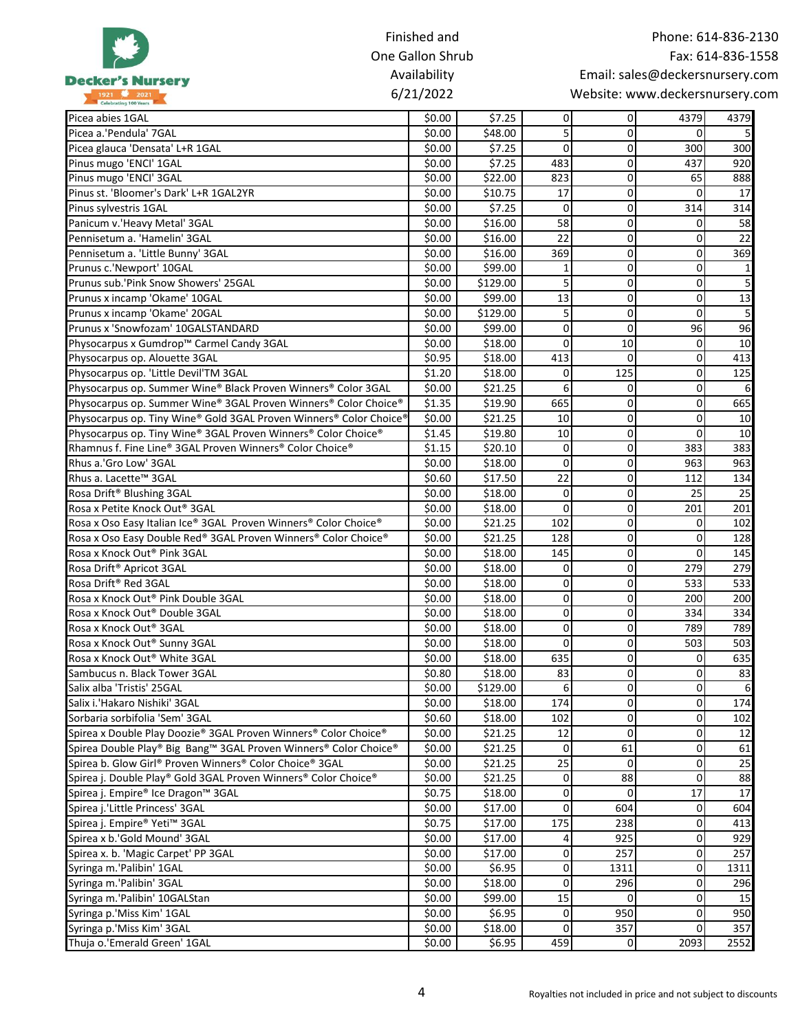|                                                                    | Finished and     |          |                |                |                                 | Phone: 614-836-2130 |
|--------------------------------------------------------------------|------------------|----------|----------------|----------------|---------------------------------|---------------------|
|                                                                    | One Gallon Shrub |          |                |                |                                 | Fax: 614-836-1558   |
|                                                                    | Availability     |          |                |                | Email: sales@deckersnursery.com |                     |
| <b>Decker's Nursery</b>                                            | 6/21/2022        |          |                |                | Website: www.deckersnursery.com |                     |
| 1921 2021                                                          |                  |          |                |                |                                 |                     |
| Picea abies 1GAL                                                   | \$0.00           | \$7.25   | $\overline{0}$ | 01             | 4379                            | 4379                |
| Picea a.'Pendula' 7GAL                                             | \$0.00           | \$48.00  | 5              | $\overline{0}$ | $\Omega$                        |                     |
| Picea glauca 'Densata' L+R 1GAL                                    | \$0.00           | \$7.25   | $\Omega$       | $\overline{0}$ | 300                             | 300                 |
| Pinus mugo 'ENCI' 1GAL                                             | \$0.00           | \$7.25   | 483            | $\overline{0}$ | 437                             | 920                 |
| Pinus mugo 'ENCI' 3GAL                                             | \$0.00           | \$22.00  | 823            | $\overline{0}$ | 65                              | 888                 |
| Pinus st. 'Bloomer's Dark' L+R 1GAL2YR                             | \$0.00           | \$10.75  | 17             | $\overline{0}$ | $\Omega$                        | 17                  |
| Pinus sylvestris 1GAL                                              | \$0.00           | \$7.25   | $\Omega$       | $\overline{0}$ | 314                             | 314                 |
| Panicum v.'Heavy Metal' 3GAL                                       | \$0.00           | \$16.00  | 58             | $\overline{0}$ | $\overline{0}$                  | 58                  |
| Pennisetum a. 'Hamelin' 3GAL                                       | \$0.00           | \$16.00  | 22             | $\overline{0}$ | $\Omega$                        | 22                  |
| Pennisetum a. 'Little Bunny' 3GAL                                  | \$0.00           | \$16.00  | 369            | $\overline{0}$ | $\Omega$                        | 369                 |
| Prunus c.'Newport' 10GAL                                           | \$0.00           | \$99.00  | 1              | $\overline{0}$ | $\overline{0}$                  |                     |
| Prunus sub.'Pink Snow Showers' 25GAL                               | \$0.00           | \$129.00 | 5              | $\overline{0}$ | $\overline{0}$                  |                     |
| Prunus x incamp 'Okame' 10GAL                                      | \$0.00           | \$99.00  | 13             | $\overline{0}$ | $\mathbf 0$                     | 13                  |
| Prunus x incamp 'Okame' 20GAL                                      | \$0.00           | \$129.00 | 5              | $\overline{0}$ | $\overline{0}$                  |                     |
| Prunus x 'Snowfozam' 10GALSTANDARD                                 | \$0.00           | \$99.00  | $\mathbf 0$    | $\Omega$       | 96                              | 96                  |
| Physocarpus x Gumdrop™ Carmel Candy 3GAL                           | \$0.00           | \$18.00  | $\Omega$       | 10             | $\mathbf 0$                     | 10                  |
| Physocarpus op. Alouette 3GAL                                      | \$0.95           | \$18.00  | 413            | $\Omega$       | $\Omega$                        | 413                 |
| Physocarpus op. 'Little Devil'TM 3GAL                              | \$1.20           | \$18.00  | 0              | 125            | 0                               | 125                 |
| Physocarpus op. Summer Wine® Black Proven Winners® Color 3GAL      | \$0.00           | \$21.25  | 6              | $\overline{0}$ | $\overline{0}$                  | 6                   |
| Physocarpus op. Summer Wine® 3GAL Proven Winners® Color Choice®    | \$1.35           | \$19.90  | 665            | $\overline{0}$ | $\Omega$                        | 665                 |
| Physocarpus op. Tiny Wine® Gold 3GAL Proven Winners® Color Choice® | \$0.00           | \$21.25  | 10             | $\Omega$       | 0                               | 10                  |
| Physocarpus op. Tiny Wine® 3GAL Proven Winners® Color Choice®      | \$1.45           | \$19.80  | 10             | $\overline{0}$ | 0                               | 10                  |
| Rhamnus f. Fine Line® 3GAL Proven Winners® Color Choice®           | \$1.15           | \$20.10  | 0              | $\overline{0}$ | 383                             | 383                 |
| Rhus a.'Gro Low' 3GAL                                              | \$0.00           | \$18.00  | $\mathbf 0$    | $\overline{0}$ | 963                             | 963                 |
| Rhus a. Lacette <sup>™</sup> 3GAL                                  | \$0.60           | \$17.50  | 22             | $\overline{0}$ | 112                             | 134                 |
| Rosa Drift <sup>®</sup> Blushing 3GAL                              | \$0.00           | \$18.00  | $\mathbf 0$    | $\overline{0}$ | 25                              | 25                  |
| Rosa x Petite Knock Out® 3GAL                                      | \$0.00           | \$18.00  | 0              | $\overline{0}$ | 201                             | 201                 |
| Rosa x Oso Easy Italian Ice® 3GAL Proven Winners® Color Choice®    | \$0.00           | \$21.25  | 102            | $\overline{0}$ | 0                               | 102                 |
| Rosa x Oso Easy Double Red® 3GAL Proven Winners® Color Choice®     | \$0.00           | \$21.25  | 128            | $\overline{0}$ | 0                               | 128                 |
| Rosa x Knock Out <sup>®</sup> Pink 3GAL                            | \$0.00           | \$18.00  | 145            | $\overline{0}$ | $\Omega$                        | 145                 |
| Rosa Drift <sup>®</sup> Apricot 3GAL                               | \$0.00           | \$18.00  | 0              | $\overline{0}$ | 279                             | 279                 |
| Rosa Drift <sup>®</sup> Red 3GAL                                   | \$0.00           | \$18.00  | 0              | $\overline{0}$ | 533                             | 533                 |
| Rosa x Knock Out® Pink Double 3GAL                                 | \$0.00           | \$18.00  | 0              | $\Omega$       | 200                             | 200                 |
| Rosa x Knock Out® Double 3GAL                                      | \$0.00           | \$18.00  | $\overline{0}$ | $\overline{0}$ | 334                             | 334                 |
| Rosa x Knock Out <sup>®</sup> 3GAL                                 | \$0.00           | \$18.00  | 0              | $\overline{0}$ | 789                             | 789                 |
| Rosa x Knock Out® Sunny 3GAL                                       | \$0.00           | \$18.00  | 0              | $\overline{O}$ | 503                             | 503                 |
| Rosa x Knock Out® White 3GAL                                       | \$0.00           | \$18.00  | 635            | $\overline{0}$ | $\mathbf 0$                     | 635                 |
| Sambucus n. Black Tower 3GAL                                       | \$0.80           | \$18.00  | 83             | $\overline{O}$ | $\overline{0}$                  | 83                  |
| Salix alba 'Tristis' 25GAL                                         | \$0.00           | \$129.00 | 6              | $\overline{0}$ | $\overline{0}$                  |                     |
| Salix i.'Hakaro Nishiki' 3GAL                                      | \$0.00           | \$18.00  | 174            | $\overline{0}$ | $\pmb{0}$                       | 174                 |
| Sorbaria sorbifolia 'Sem' 3GAL                                     | \$0.60           | \$18.00  | 102            | $\Omega$       | $\overline{0}$                  | 102                 |
| Spirea x Double Play Doozie® 3GAL Proven Winners® Color Choice®    | \$0.00           | \$21.25  | 12             | $\Omega$       | $\overline{0}$                  | 12                  |
| Spirea Double Play® Big Bang™ 3GAL Proven Winners® Color Choice®   | \$0.00           | \$21.25  | 0              | 61             | $\mathbf 0$                     | 61                  |
| Spirea b. Glow Girl® Proven Winners® Color Choice® 3GAL            | \$0.00           | \$21.25  | 25             | $\overline{0}$ | $\overline{0}$                  | 25                  |
| Spirea j. Double Play® Gold 3GAL Proven Winners® Color Choice®     |                  |          |                |                | $\Omega$                        |                     |
|                                                                    | \$0.00           | \$21.25  | $\overline{0}$ | 88             |                                 | 88                  |
| Spirea j. Empire® Ice Dragon™ 3GAL                                 | \$0.75           | \$18.00  | 0              | $\overline{0}$ | 17                              | 17                  |
| Spirea j.'Little Princess' 3GAL                                    | \$0.00           | \$17.00  | 0              | 604            | $\overline{0}$                  | 604                 |
| Spirea j. Empire® Yeti™ 3GAL                                       | \$0.75           | \$17.00  | 175            | 238            | $\overline{0}$                  | 413                 |
| Spirea x b.'Gold Mound' 3GAL                                       | \$0.00           | \$17.00  | 4              | 925            | $\overline{0}$                  | 929                 |
| Spirea x. b. 'Magic Carpet' PP 3GAL                                | \$0.00           | \$17.00  | $\overline{0}$ | 257            | $\overline{0}$                  | 257                 |
| Syringa m.'Palibin' 1GAL                                           | \$0.00           | \$6.95   | 0              | 1311           | $\overline{0}$                  | 1311                |
| Syringa m.'Palibin' 3GAL                                           | \$0.00           | \$18.00  | $\overline{0}$ | 296            | $\overline{0}$                  | 296                 |
| Syringa m.'Palibin' 10GALStan                                      | \$0.00           | \$99.00  | 15             | $\overline{0}$ | $\overline{0}$                  | 15                  |
| Syringa p.'Miss Kim' 1GAL                                          | \$0.00           | \$6.95   | 0              | 950            | $\overline{0}$                  | 950                 |
| Syringa p.'Miss Kim' 3GAL                                          | \$0.00           | \$18.00  | 0              | 357            | $\overline{0}$                  | 357                 |
| Thuja o.'Emerald Green' 1GAL                                       | \$0.00           | \$6.95   | 459            | $\overline{0}$ | 2093                            | 2552                |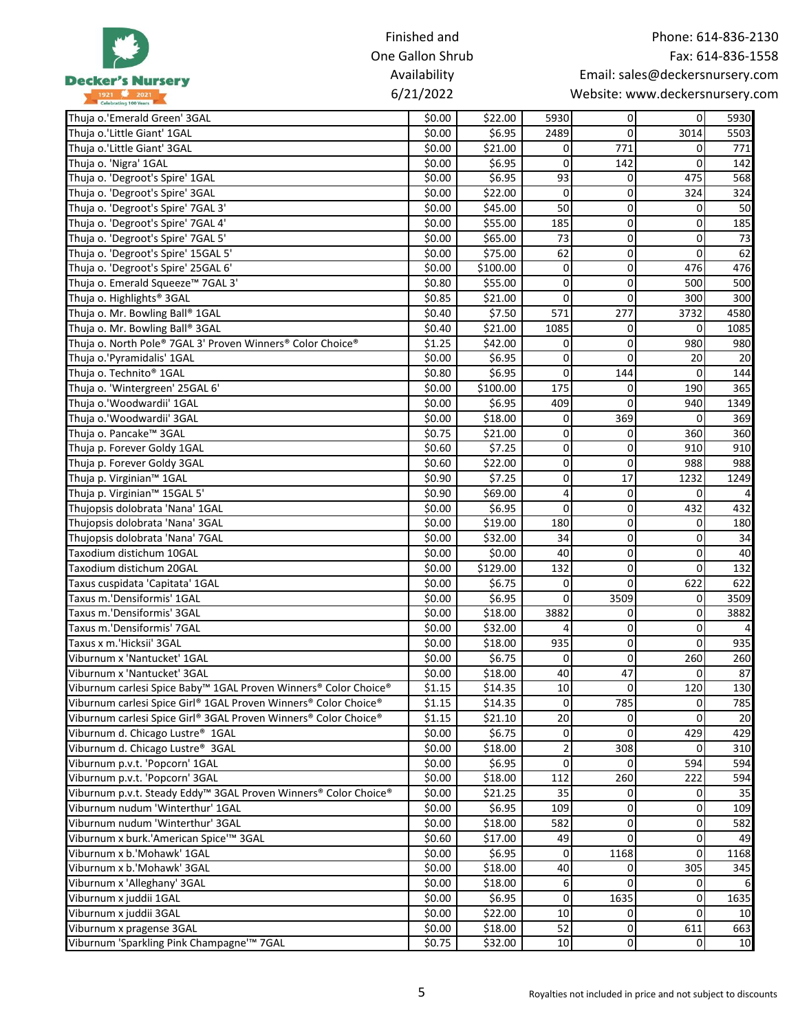|                                                                             | Finished and     |          |                |                | Phone: 614-836-2130             |                   |
|-----------------------------------------------------------------------------|------------------|----------|----------------|----------------|---------------------------------|-------------------|
|                                                                             | One Gallon Shrub |          |                |                |                                 | Fax: 614-836-1558 |
| <b>Decker's Nursery</b>                                                     | Availability     |          |                |                | Email: sales@deckersnursery.com |                   |
| 1921 2021                                                                   | 6/21/2022        |          |                |                | Website: www.deckersnursery.com |                   |
| Thuja o.'Emerald Green' 3GAL                                                | \$0.00           | \$22.00  | 5930           | $\overline{0}$ | $\overline{0}$                  | 5930              |
| Thuja o.'Little Giant' 1GAL                                                 | \$0.00           | \$6.95   | 2489           | $\Omega$       | 3014                            | 5503              |
| Thuja o.'Little Giant' 3GAL                                                 | \$0.00           | \$21.00  | 0              | 771            | 0                               | 771               |
| Thuja o. 'Nigra' 1GAL                                                       | \$0.00           | \$6.95   | 0              | 142            | $\Omega$                        | 142               |
| Thuja o. 'Degroot's Spire' 1GAL                                             | \$0.00           | \$6.95   | 93             | $\Omega$       | 475                             | 568               |
| Thuja o. 'Degroot's Spire' 3GAL                                             | \$0.00           | \$22.00  | $\mathbf{0}$   | $\Omega$       | 324                             | 324               |
| Thuja o. 'Degroot's Spire' 7GAL 3'                                          | \$0.00           | \$45.00  | 50             | $\mathbf 0$    | 0                               | 50                |
| Thuja o. 'Degroot's Spire' 7GAL 4'                                          | \$0.00           | \$55.00  | 185            | $\mathbf{0}$   | 0                               | 185               |
| Thuja o. 'Degroot's Spire' 7GAL 5'                                          | \$0.00           | \$65.00  | 73             | $\mathbf 0$    | 0                               | 73                |
| Thuja o. 'Degroot's Spire' 15GAL 5'                                         | \$0.00           | \$75.00  | 62             | $\mathbf 0$    | $\mathbf 0$                     | 62                |
| Thuja o. 'Degroot's Spire' 25GAL 6'                                         | \$0.00           | \$100.00 | 0              | $\mathbf{0}$   | 476                             | 476               |
| Thuja o. Emerald Squeeze™ 7GAL 3'                                           | \$0.80           | \$55.00  | $\mathbf{0}$   | $\mathbf 0$    | 500                             | 500               |
| Thuja o. Highlights <sup>®</sup> 3GAL                                       | \$0.85           | \$21.00  | 0              | $\mathbf 0$    | 300                             | 300               |
| Thuja o. Mr. Bowling Ball® 1GAL                                             | \$0.40           | \$7.50   | 571            | 277            | 3732                            | 4580              |
| Thuja o. Mr. Bowling Ball® 3GAL                                             | \$0.40           | \$21.00  | 1085           | $\mathbf{0}$   | $\Omega$                        | 1085              |
| Thuja o. North Pole® 7GAL 3' Proven Winners® Color Choice®                  | \$1.25           | \$42.00  | 0              | $\mathbf{0}$   | 980                             | 980               |
| Thuja o.'Pyramidalis' 1GAL                                                  | \$0.00           | \$6.95   | 0              | $\Omega$       | 20                              | 20                |
| Thuja o. Technito® 1GAL                                                     | \$0.80           | \$6.95   | $\mathbf{0}$   | 144            | 0                               | 144               |
|                                                                             |                  |          | 175            | $\mathbf{0}$   | 190                             | 365               |
| Thuja o. 'Wintergreen' 25GAL 6'                                             | \$0.00           | \$100.00 |                | $\Omega$       |                                 |                   |
| Thuja o.'Woodwardii' 1GAL                                                   | \$0.00           | \$6.95   | 409            |                | 940                             | 1349              |
| Thuja o.'Woodwardii' 3GAL                                                   | \$0.00           | \$18.00  | 0              | 369            | 0                               | 369               |
| Thuja o. Pancake™ 3GAL                                                      | \$0.75           | \$21.00  | $\mathbf{0}$   | 0              | 360                             | 360               |
| Thuja p. Forever Goldy 1GAL                                                 | \$0.60           | \$7.25   | 0              | $\mathbf 0$    | 910                             | 910               |
| Thuja p. Forever Goldy 3GAL                                                 | \$0.60           | \$22.00  | $\overline{0}$ | $\mathbf{0}$   | 988                             | 988               |
| Thuja p. Virginian™ 1GAL                                                    | \$0.90           | \$7.25   | 0              | 17             | 1232                            | 1249              |
| Thuja p. Virginian™ 15GAL 5'                                                | \$0.90           | \$69.00  | $\overline{4}$ | $\mathbf 0$    | $\mathbf{0}$                    |                   |
| Thujopsis dolobrata 'Nana' 1GAL                                             | \$0.00           | \$6.95   | 0              | $\mathbf 0$    | 432                             | 432               |
| Thujopsis dolobrata 'Nana' 3GAL                                             | \$0.00           | \$19.00  | 180            | $\mathbf 0$    | 0                               | 180               |
| Thujopsis dolobrata 'Nana' 7GAL                                             | \$0.00           | \$32.00  | 34             | $\mathbf 0$    | 0                               | 34                |
| Taxodium distichum 10GAL                                                    | \$0.00           | \$0.00   | 40             | $\mathbf 0$    | 0                               | 40                |
| Taxodium distichum 20GAL                                                    | \$0.00           | \$129.00 | 132            | $\mathbf{0}$   | 0                               | 132               |
| Taxus cuspidata 'Capitata' 1GAL                                             | \$0.00           | \$6.75   | 0              | $\Omega$       | 622                             | 622               |
| Taxus m.'Densiformis' 1GAL                                                  | \$0.00           | \$6.95   | $\overline{0}$ | 3509           | 0                               | 3509              |
| Taxus m.'Densiformis' 3GAL                                                  | \$0.00           | \$18.00  | 3882           | $\overline{0}$ | $\overline{0}$                  | 3882              |
| Taxus m.'Densiformis' 7GAL                                                  | \$0.00           | \$32.00  | 4              | $\Omega$       | 0                               |                   |
| Taxus x m.'Hicksii' 3GAL                                                    | \$0.00           | \$18.00  | 935            | $\mathbf 0$    | 0                               | 935               |
| Viburnum x 'Nantucket' 1GAL                                                 | \$0.00           | \$6.75   | $\overline{0}$ | $\Omega$       | 260                             | 260               |
| Viburnum x 'Nantucket' 3GAL                                                 | \$0.00           | \$18.00  | 40             | 47             | $\mathbf{0}$                    | 87                |
| Viburnum carlesi Spice Baby™ 1GAL Proven Winners® Color Choice®             | \$1.15           | \$14.35  | 10             | $\Omega$       | 120                             | 130               |
| Viburnum carlesi Spice Girl® 1GAL Proven Winners® Color Choice®             | \$1.15           | \$14.35  | $\overline{0}$ | 785            | 0                               | 785               |
| Viburnum carlesi Spice Girl® 3GAL Proven Winners® Color Choice®             | \$1.15           | \$21.10  | 20             | $\mathbf 0$    | $\Omega$                        | 20                |
| Viburnum d. Chicago Lustre® 1GAL                                            | \$0.00           | \$6.75   | $\overline{0}$ | $\Omega$       | 429                             | 429               |
| Viburnum d. Chicago Lustre® 3GAL                                            | \$0.00           | \$18.00  | $\overline{2}$ | 308            | 0                               | 310               |
| Viburnum p.v.t. 'Popcorn' 1GAL                                              | \$0.00           | \$6.95   | $\Omega$       | $\mathbf{0}$   | 594                             | 594               |
| Viburnum p.v.t. 'Popcorn' 3GAL                                              | \$0.00           | \$18.00  | 112            | 260            | 222                             | 594               |
| Viburnum p.v.t. Steady Eddy <sup>™</sup> 3GAL Proven Winners® Color Choice® | \$0.00           | \$21.25  | 35             | $\overline{0}$ | 0                               | 35                |
| Viburnum nudum 'Winterthur' 1GAL                                            | \$0.00           | \$6.95   | 109            | $\Omega$       | 0                               | 109               |
| Viburnum nudum 'Winterthur' 3GAL                                            | \$0.00           | \$18.00  | 582            | $\Omega$       | $\pmb{0}$                       | 582               |
| Viburnum x burk.'American Spice'™ 3GAL                                      | \$0.60           | \$17.00  | 49             | $\overline{0}$ | 0                               | 49                |
| Viburnum x b.'Mohawk' 1GAL                                                  | \$0.00           | \$6.95   | $\overline{0}$ | 1168           | 0                               | 1168              |
| Viburnum x b.'Mohawk' 3GAL                                                  | \$0.00           | \$18.00  | 40             | $\overline{0}$ | 305                             | 345               |
| Viburnum x 'Alleghany' 3GAL                                                 | \$0.00           | \$18.00  |                | $\Omega$       | 0                               |                   |
|                                                                             |                  |          | 6              |                |                                 |                   |
| Viburnum x juddii 1GAL                                                      | \$0.00           | \$6.95   | $\overline{0}$ | 1635           | $\overline{0}$                  | 1635              |
| Viburnum x juddii 3GAL                                                      | \$0.00           | \$22.00  | 10             | $\mathbf 0$    | $\Omega$                        | 10                |
| Viburnum x pragense 3GAL                                                    | \$0.00           | \$18.00  | 52             | $\mathbf 0$    | 611                             | 663               |
| Viburnum 'Sparkling Pink Champagne'™ 7GAL                                   | \$0.75           | \$32.00  | 10             | $\overline{0}$ | $\overline{0}$                  | 10                |